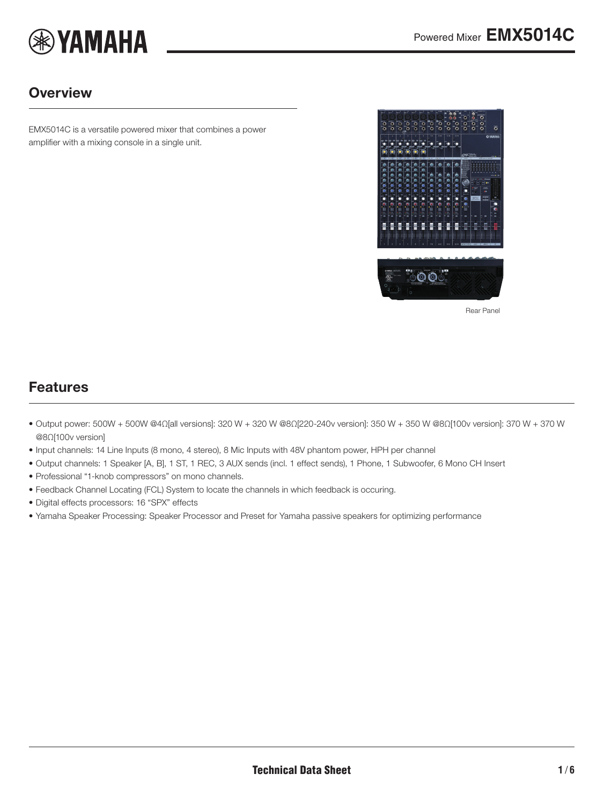

### **Overview**

EMX5014C is a versatile powered mixer that combines a power amplifier with a mixing console in a single unit.

<span id="page-0-0"></span>

Rear Panel

### Features

- Output power: 500W + 500W @4Ω[all versions]: 320 W + 320 W @8Ω[220-240v version]: 350 W + 350 W @8Ω[100v version]: 370 W + 370 W @8Ω[100v version]
- Input channels: 14 Line Inputs (8 mono, 4 stereo), 8 Mic Inputs with 48V phantom power, HPH per channel
- Output channels: 1 Speaker [A, B], 1 ST, 1 REC, 3 AUX sends (incl. 1 effect sends), 1 Phone, 1 Subwoofer, 6 Mono CH Insert
- Professional "1-knob compressors" on mono channels.
- Feedback Channel Locating (FCL) System to locate the channels in which feedback is occuring.
- Digital effects processors: 16 "SPX" effects
- Yamaha Speaker Processing: Speaker Processor and Preset for Yamaha passive speakers for optimizing performance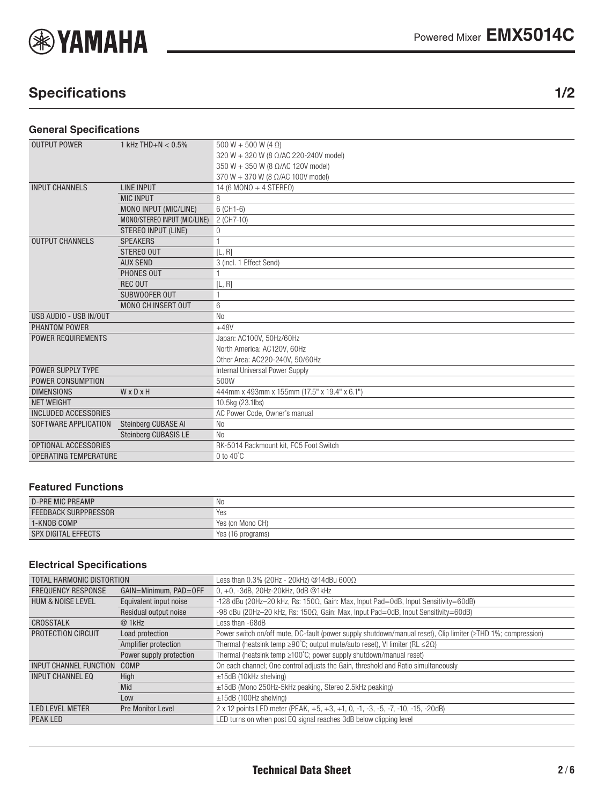

# Specifications 1/2

#### **General Specifications**

| <b>OUTPUT POWER</b>          | 1 kHz THD+N $< 0.5\%$        | 500 W + 500 W (4 $\Omega$ )                  |  |  |  |
|------------------------------|------------------------------|----------------------------------------------|--|--|--|
|                              |                              | 320 W + 320 W (8 Ω/AC 220-240V model)        |  |  |  |
|                              |                              | 350 W + 350 W (8 Ω/AC 120V model)            |  |  |  |
|                              |                              | 370 W + 370 W (8 $\Omega$ /AC 100V model)    |  |  |  |
| <b>INPUT CHANNELS</b>        | <b>LINE INPUT</b>            | 14 (6 MONO + 4 STEREO)                       |  |  |  |
|                              | <b>MIC INPUT</b>             | 8                                            |  |  |  |
|                              | MONO INPUT (MIC/LINE)        | $6$ (CH <sub>1</sub> - $6$ )                 |  |  |  |
|                              | MONO/STEREO INPUT (MIC/LINE) | 2 (CH7-10)                                   |  |  |  |
|                              | <b>STEREO INPUT (LINE)</b>   | 0                                            |  |  |  |
| <b>OUTPUT CHANNELS</b>       | <b>SPEAKERS</b>              |                                              |  |  |  |
|                              | STEREO OUT                   | [L, R]                                       |  |  |  |
|                              | <b>AUX SEND</b>              | 3 (incl. 1 Effect Send)                      |  |  |  |
|                              | PHONES OUT                   |                                              |  |  |  |
|                              | <b>REC OUT</b>               | [L, R]                                       |  |  |  |
|                              | SUBWOOFER OUT                |                                              |  |  |  |
|                              | <b>MONO CH INSERT OUT</b>    | 6                                            |  |  |  |
| USB AUDIO - USB IN/OUT       |                              | N <sub>0</sub>                               |  |  |  |
| PHANTOM POWER                |                              | $+48V$                                       |  |  |  |
| <b>POWER REQUIREMENTS</b>    |                              | Japan: AC100V, 50Hz/60Hz                     |  |  |  |
|                              |                              | North America: AC120V, 60Hz                  |  |  |  |
|                              |                              | Other Area: AC220-240V, 50/60Hz              |  |  |  |
| POWER SUPPLY TYPE            |                              | Internal Universal Power Supply              |  |  |  |
| POWER CONSUMPTION            |                              | 500W                                         |  |  |  |
| <b>DIMENSIONS</b>            | WxDxH                        | 444mm x 493mm x 155mm (17.5" x 19.4" x 6.1") |  |  |  |
| <b>NET WEIGHT</b>            |                              | 10.5kg (23.1lbs)                             |  |  |  |
| <b>INCLUDED ACCESSORIES</b>  |                              | AC Power Code, Owner's manual                |  |  |  |
| SOFTWARE APPLICATION         | Steinberg CUBASE AI          | N <sub>0</sub>                               |  |  |  |
|                              | Steinberg CUBASIS LE         | N <sub>0</sub>                               |  |  |  |
| OPTIONAL ACCESSORIES         |                              | RK-5014 Rackmount kit, FC5 Foot Switch       |  |  |  |
| <b>OPERATING TEMPERATURE</b> |                              | $0$ to $40^{\circ}$ C                        |  |  |  |

#### **Featured Functions**

| <b>D-PRE MIC PREAMP</b>     | N0                |
|-----------------------------|-------------------|
| <b>FEEDBACK SURPPRESSOR</b> | Yes               |
| 1-KNOB COMP                 | Yes (on Mono CH)  |
| <b>SPX DIGITAL EFFECTS</b>  | Yes (16 programs) |

#### **Electrical Specifications**

| TOTAL HARMONIC DISTORTION     |                          | Less than $0.3\%$ (20Hz - 20kHz) @14dBu 600 $\Omega$                                                         |  |  |  |  |  |
|-------------------------------|--------------------------|--------------------------------------------------------------------------------------------------------------|--|--|--|--|--|
| <b>FREQUENCY RESPONSE</b>     | GAIN=Minimum, PAD=OFF    | $0, +0, -3$ dB, 20Hz-20kHz, 0dB @1kHz                                                                        |  |  |  |  |  |
| <b>HUM &amp; NOISE LEVEL</b>  | Equivalent input noise   | -128 dBu (20Hz-20 kHz, Rs: $150\Omega$ , Gain: Max, Input Pad=0dB, Input Sensitivity=60dB)                   |  |  |  |  |  |
|                               | Residual output noise    | -98 dBu (20Hz-20 kHz, Rs: 150Ω, Gain: Max, Input Pad=0dB, Input Sensitivity=60dB)                            |  |  |  |  |  |
| CROSSTALK                     | @ 1kHz                   | Less than -68dB                                                                                              |  |  |  |  |  |
| PROTECTION CIRCUIT            | Load protection          | Power switch on/off mute, DC-fault (power supply shutdown/manual reset), Clip limiter (≥THD 1%; compression) |  |  |  |  |  |
|                               | Amplifier protection     | Thermal (heatsink temp $\geq$ 90°C; output mute/auto reset), VI limiter (RL $\leq$ 2 $\Omega$ )              |  |  |  |  |  |
|                               | Power supply protection  | Thermal (heatsink temp $\geq 100^{\circ}$ C; power supply shutdown/manual reset)                             |  |  |  |  |  |
| <b>INPUT CHANNEL FUNCTION</b> | COMP                     | On each channel; One control adjusts the Gain, threshold and Ratio simultaneously                            |  |  |  |  |  |
| INPUT CHANNEL EQ              | High                     | $\pm$ 15dB (10kHz shelving)                                                                                  |  |  |  |  |  |
|                               | Mid                      | $\pm$ 15dB (Mono 250Hz-5kHz peaking, Stereo 2.5kHz peaking)                                                  |  |  |  |  |  |
|                               | Low                      | $\pm$ 15dB (100Hz shelving)                                                                                  |  |  |  |  |  |
| <b>LED LEVEL METER</b>        | <b>Pre Monitor Level</b> | 2 x 12 points LED meter (PEAK, +5, +3, +1, 0, -1, -3, -5, -7, -10, -15, -20dB)                               |  |  |  |  |  |
| PEAK LED                      |                          | LED turns on when post EQ signal reaches 3dB below clipping level                                            |  |  |  |  |  |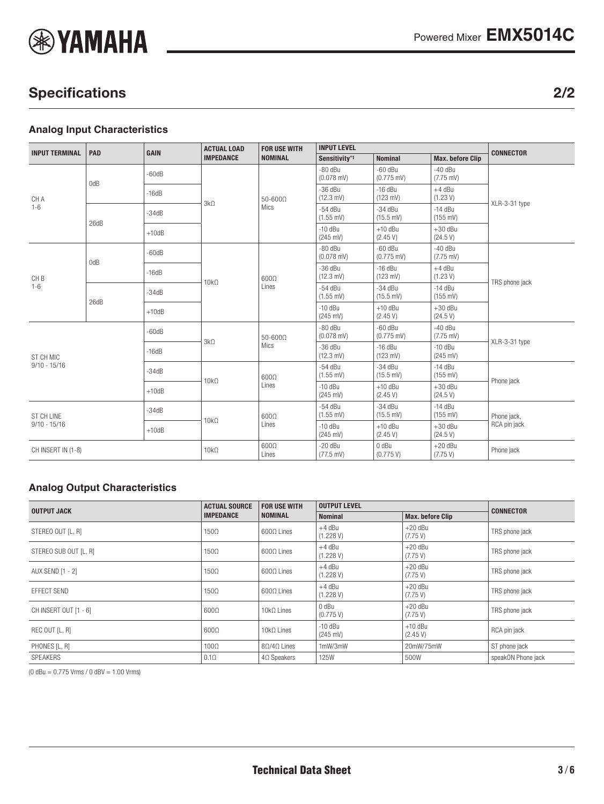

# Specifications 2/2

#### **Analog Input Characteristics**

| <b>INPUT TERMINAL</b>               | PAD  | <b>GAIN</b> | <b>ACTUAL LOAD</b><br><b>IMPEDANCE</b> | <b>FOR USE WITH</b><br><b>NOMINAL</b> | <b>INPUT LEVEL</b>               |                                   |                                  | <b>CONNECTOR</b> |
|-------------------------------------|------|-------------|----------------------------------------|---------------------------------------|----------------------------------|-----------------------------------|----------------------------------|------------------|
|                                     |      |             |                                        |                                       | Sensitivity*1                    | <b>Nominal</b>                    | <b>Max. before Clip</b>          |                  |
| CH A<br>$1 - 6$                     | 0dB  | $-60dB$     | $3k\Omega$                             | $50 - 600\Omega$<br>Mics              | $-80$ dBu<br>$(0.078$ mV)        | $-60$ dBu<br>$(0.775 \text{ mV})$ | $-40$ dBu<br>$(7.75 \text{ mV})$ | XLR-3-31 type    |
|                                     |      | $-16dB$     |                                        |                                       | $-36$ dBu<br>$(12.3 \text{ mV})$ | $-16$ dBu<br>$(123 \text{ mV})$   | $+4$ dBu<br>(1.23 V)             |                  |
|                                     | 26dB | $-34dB$     |                                        |                                       | $-54$ dBu<br>$(1.55 \text{ mV})$ | $-34$ dBu<br>$(15.5 \text{ mV})$  | $-14$ dBu<br>$(155 \text{ mV})$  |                  |
|                                     |      | $+10dB$     |                                        |                                       | $-10$ dBu<br>$(245 \text{ mV})$  | $+10$ dBu<br>(2.45 V)             | $+30$ dBu<br>(24.5 V)            |                  |
| CH <sub>B</sub><br>$1 - 6$          | 0dB  | $-60dB$     |                                        | $600\Omega$<br>Lines                  | $-80$ dBu<br>$(0.078$ mV)        | $-60$ dBu<br>$(0.775 \text{ mV})$ | $-40$ dBu<br>$(7.75 \text{ mV})$ | TRS phone jack   |
|                                     |      | $-16dB$     | $10k\Omega$                            |                                       | $-36$ dBu<br>$(12.3 \text{ mV})$ | $-16$ dBu<br>$(123 \text{ mV})$   | $+4$ dBu<br>(1.23 V)             |                  |
|                                     | 26dB | $-34dB$     |                                        |                                       | $-54$ dBu<br>$(1.55$ mV)         | $-34$ dBu<br>(15.5 mV)            | $-14$ dBu<br>$(155 \text{ mV})$  |                  |
|                                     |      | $+10dB$     |                                        |                                       | $-10$ dBu<br>$(245 \text{ mV})$  | $+10$ dBu<br>(2.45 V)             | $+30$ dBu<br>(24.5 V)            |                  |
|                                     |      | $-60dB$     | $3k\Omega$                             | $50 - 600\Omega$                      | $-80$ dBu<br>$(0.078$ mV)        | $-60$ dBu<br>$(0.775 \text{ mV})$ | $-40$ dBu<br>$(7.75 \text{ mV})$ | XLR-3-31 type    |
| <b>ST CH MIC</b>                    |      | $-16dB$     | Mics                                   | $-36$ dBu<br>$(12.3 \text{ mV})$      | $-16$ dBu<br>$(123 \text{ mV})$  | $-10$ dBu<br>$(245 \text{ mV})$   |                                  |                  |
| $9/10 - 15/16$                      |      | $-34dB$     | $10k\Omega$                            | $600\Omega$<br>Lines                  | $-54$ dBu<br>$(1.55 \text{ mV})$ | $-34$ dBu<br>$(15.5 \text{ mV})$  | $-14$ dBu<br>$(155 \text{ mV})$  | Phone jack       |
|                                     |      | $+10dB$     |                                        |                                       | $-10$ dBu<br>$(245 \text{ mV})$  | $+10$ dBu<br>(2.45 V)             | $+30$ dBu<br>(24.5 V)            |                  |
| <b>ST CH LINE</b><br>$9/10 - 15/16$ |      | $-34dB$     | $600\Omega$<br>$10k\Omega$<br>Lines    |                                       | $-54$ dBu<br>$(1.55$ mV)         | $-34$ dBu<br>(15.5 mV)            | $-14$ dBu<br>$(155 \text{ mV})$  | Phone jack,      |
|                                     |      | $+10dB$     |                                        | $-10$ dBu<br>$(245 \text{ mV})$       | $+10$ dBu<br>(2.45 V)            | $+30$ dBu<br>(24.5 V)             | RCA pin jack                     |                  |
| CH INSERT IN (1-8)                  |      | $10k\Omega$ | $600\Omega$<br>Lines                   | $-20$ dBu<br>$(77.5 \text{ mV})$      | 0 dBu<br>(0.775 V)               | $+20$ dBu<br>(7.75 V)             | Phone jack                       |                  |

#### **Analog Output Characteristics**

| <b>OUTPUT JACK</b>    | <b>ACTUAL SOURCE</b> | <b>FOR USE WITH</b>     | <b>OUTPUT LEVEL</b>             |                         |                    |  |
|-----------------------|----------------------|-------------------------|---------------------------------|-------------------------|--------------------|--|
|                       | <b>IMPEDANCE</b>     | <b>NOMINAL</b>          | <b>Nominal</b>                  | <b>Max. before Clip</b> | <b>CONNECTOR</b>   |  |
| STEREO OUT [L, R]     | 150Ω                 | $600\Omega$ Lines       | $+4$ dBu<br>(1.228 V)           | $+20$ dBu<br>(7.75 V)   | TRS phone jack     |  |
| STEREO SUB OUT [L, R] | $150\Omega$          | $600\Omega$ Lines       | $+4$ dBu<br>(1.228 V)           | $+20$ dBu<br>(7.75 V)   | TRS phone jack     |  |
| AUX SEND [1 - 2]      | $150\Omega$          | $600\Omega$ Lines       | $+4$ dBu<br>(1.228 V)           | $+20$ dBu<br>(7.75 V)   | TRS phone jack     |  |
| EFFECT SEND           | $150\Omega$          | $600\Omega$ Lines       | $+4$ dBu<br>(1.228 V)           | $+20$ dBu<br>(7.75 V)   | TRS phone jack     |  |
| CH INSERT OUT [1 - 6] | $600\Omega$          | $10k\Omega$ Lines       | 0 dBu<br>(0.775 V)              | $+20$ dBu<br>(7.75 V)   | TRS phone jack     |  |
| REC OUT [L, R]        | $600\Omega$          | $10k\Omega$ Lines       | $-10$ dBu<br>$(245 \text{ mV})$ | $+10$ dBu<br>(2.45 V)   | RCA pin jack       |  |
| PHONES [L, R]         | $100\Omega$          | $8\Omega/4\Omega$ Lines | 1mW/3mW                         | 20mW/75mW               | ST phone jack      |  |
| SPEAKERS              | $0.1\Omega$          | $4\Omega$ Speakers      | <b>125W</b>                     | 500W                    | speakON Phone jack |  |

(0 dBu = 0.775 Vrms / 0 dBV = 1.00 Vrms)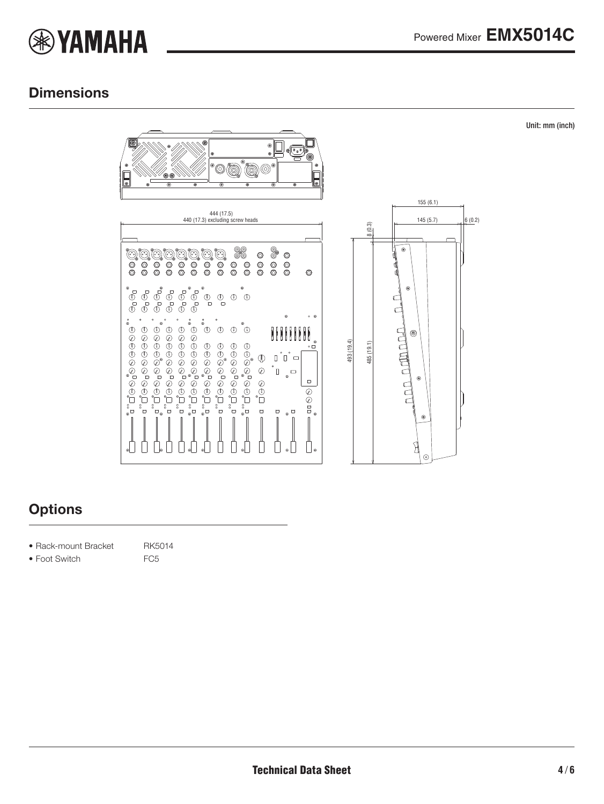

Unit: mm (inch)

### **Dimensions**



### **Options**

- Rack-mount Bracket RK5014
- Foot Switch FC5
- 
-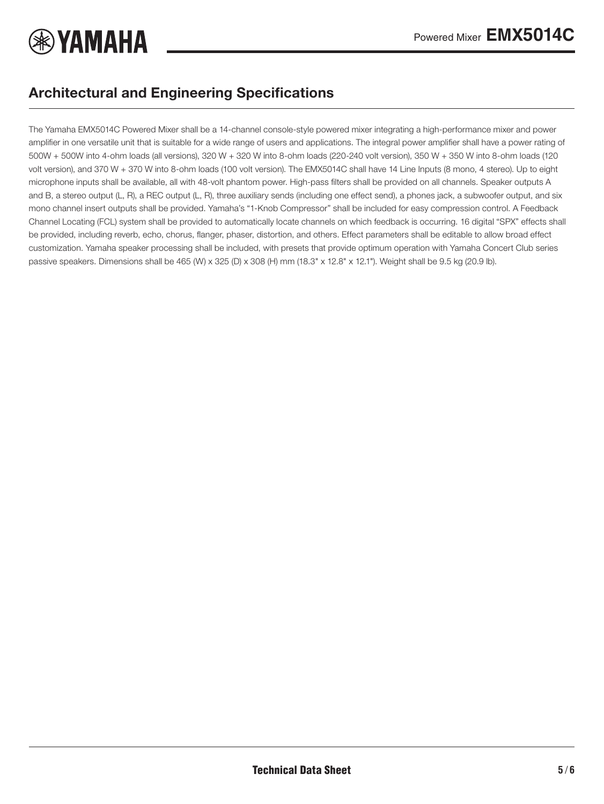

### Architectural and Engineering Specifications

The Yamaha EMX5014C Powered Mixer shall be a 14-channel console-style powered mixer integrating a high-performance mixer and power amplifier in one versatile unit that is suitable for a wide range of users and applications. The integral power amplifier shall have a power rating of 500W + 500W into 4-ohm loads (all versions), 320 W + 320 W into 8-ohm loads (220-240 volt version), 350 W + 350 W into 8-ohm loads (120 volt version), and 370 W + 370 W into 8-ohm loads (100 volt version). The EMX5014C shall have 14 Line Inputs (8 mono, 4 stereo). Up to eight microphone inputs shall be available, all with 48-volt phantom power. High-pass filters shall be provided on all channels. Speaker outputs A and B, a stereo output (L, R), a REC output (L, R), three auxiliary sends (including one effect send), a phones jack, a subwoofer output, and six mono channel insert outputs shall be provided. Yamaha's "1-Knob Compressor" shall be included for easy compression control. A Feedback Channel Locating (FCL) system shall be provided to automatically locate channels on which feedback is occurring. 16 digital "SPX" effects shall be provided, including reverb, echo, chorus, flanger, phaser, distortion, and others. Effect parameters shall be editable to allow broad effect customization. Yamaha speaker processing shall be included, with presets that provide optimum operation with Yamaha Concert Club series passive speakers. Dimensions shall be 465 (W) x 325 (D) x 308 (H) mm (18.3" x 12.8" x 12.1"). Weight shall be 9.5 kg (20.9 lb).